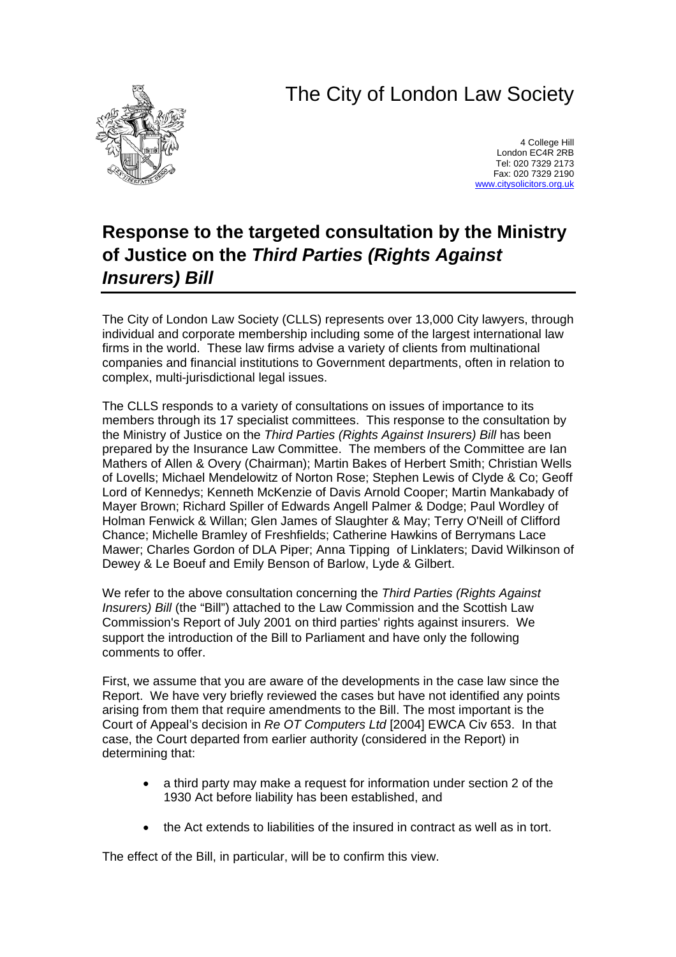## The City of London Law Society



4 College Hill London EC4R 2RB Tel: 020 7329 2173 Fax: 020 7329 2190 [www.citysolicitors.org.uk](http://www.citysolicitors.org.uk/)

## **Response to the targeted consultation by the Ministry of Justice on the** *Third Parties (Rights Against Insurers) Bill*

The City of London Law Society (CLLS) represents over 13,000 City lawyers, through individual and corporate membership including some of the largest international law firms in the world. These law firms advise a variety of clients from multinational companies and financial institutions to Government departments, often in relation to complex, multi-jurisdictional legal issues.

The CLLS responds to a variety of consultations on issues of importance to its members through its 17 specialist committees. This response to the consultation by the Ministry of Justice on the *Third Parties (Rights Against Insurers) Bill* has been prepared by the Insurance Law Committee. The members of the Committee are Ian Mathers of Allen & Overy (Chairman); Martin Bakes of Herbert Smith; Christian Wells of Lovells; Michael Mendelowitz of Norton Rose; Stephen Lewis of Clyde & Co; Geoff Lord of Kennedys; Kenneth McKenzie of Davis Arnold Cooper; Martin Mankabady of Mayer Brown; Richard Spiller of Edwards Angell Palmer & Dodge; Paul Wordley of Holman Fenwick & Willan; Glen James of Slaughter & May; Terry O'Neill of Clifford Chance; Michelle Bramley of Freshfields; Catherine Hawkins of Berrymans Lace Mawer; Charles Gordon of DLA Piper; Anna Tipping of Linklaters; David Wilkinson of Dewey & Le Boeuf and Emily Benson of Barlow, Lyde & Gilbert.

We refer to the above consultation concerning the *Third Parties (Rights Against Insurers) Bill* (the "Bill") attached to the Law Commission and the Scottish Law Commission's Report of July 2001 on third parties' rights against insurers. We support the introduction of the Bill to Parliament and have only the following comments to offer.

First, we assume that you are aware of the developments in the case law since the Report. We have very briefly reviewed the cases but have not identified any points arising from them that require amendments to the Bill. The most important is the Court of Appeal's decision in *Re OT Computers Ltd* [2004] EWCA Civ 653. In that case, the Court departed from earlier authority (considered in the Report) in determining that:

- a third party may make a request for information under section 2 of the 1930 Act before liability has been established, and
- the Act extends to liabilities of the insured in contract as well as in tort.

The effect of the Bill, in particular, will be to confirm this view.